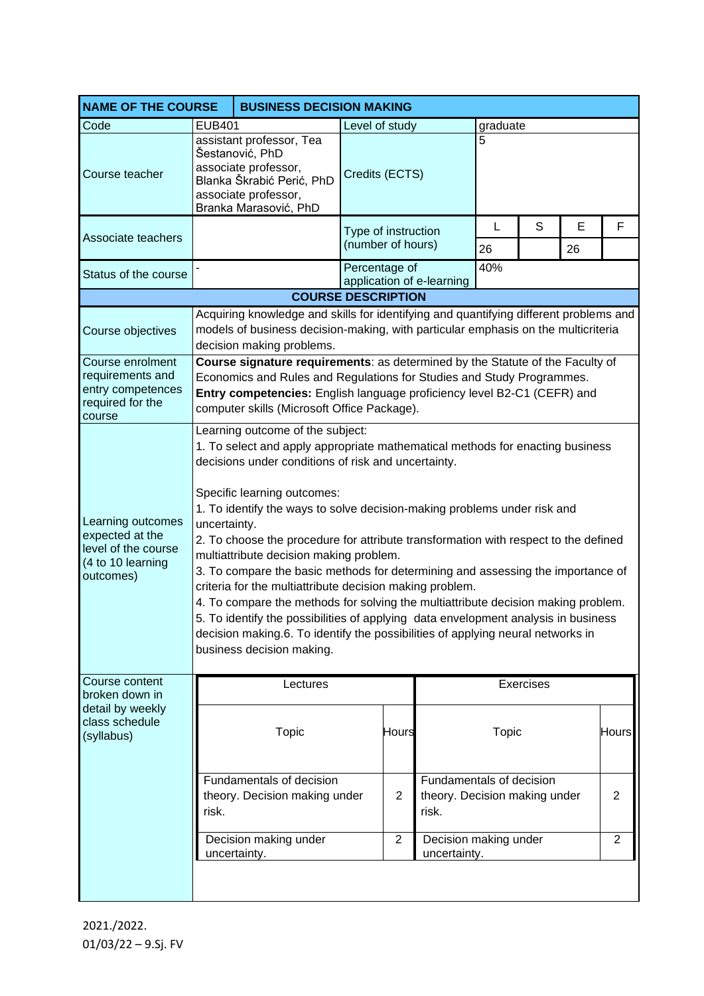| <b>NAME OF THE COURSE</b>                                                                     | <b>BUSINESS DECISION MAKING</b>                                                                                                                                                                                                                                                                                                                                                                                                                                                                                                                                                                                                                                                                                                                                                                                                                                                 |                                                                                                                                                                                                         |                                          |                |                                                                    |                 |           |   |                |
|-----------------------------------------------------------------------------------------------|---------------------------------------------------------------------------------------------------------------------------------------------------------------------------------------------------------------------------------------------------------------------------------------------------------------------------------------------------------------------------------------------------------------------------------------------------------------------------------------------------------------------------------------------------------------------------------------------------------------------------------------------------------------------------------------------------------------------------------------------------------------------------------------------------------------------------------------------------------------------------------|---------------------------------------------------------------------------------------------------------------------------------------------------------------------------------------------------------|------------------------------------------|----------------|--------------------------------------------------------------------|-----------------|-----------|---|----------------|
| Code                                                                                          | <b>EUB401</b>                                                                                                                                                                                                                                                                                                                                                                                                                                                                                                                                                                                                                                                                                                                                                                                                                                                                   |                                                                                                                                                                                                         | Level of study<br>graduate               |                |                                                                    |                 |           |   |                |
| Course teacher                                                                                |                                                                                                                                                                                                                                                                                                                                                                                                                                                                                                                                                                                                                                                                                                                                                                                                                                                                                 | assistant professor, Tea<br>Šestanović, PhD<br>associate professor,<br>Blanka Škrabić Perić, PhD<br>associate professor,<br>Branka Marasović, PhD                                                       | Credits (ECTS)                           |                |                                                                    | 5               |           |   |                |
| Associate teachers                                                                            |                                                                                                                                                                                                                                                                                                                                                                                                                                                                                                                                                                                                                                                                                                                                                                                                                                                                                 |                                                                                                                                                                                                         | Type of instruction<br>(number of hours) |                | L                                                                  | S               | E         | F |                |
| Status of the course                                                                          |                                                                                                                                                                                                                                                                                                                                                                                                                                                                                                                                                                                                                                                                                                                                                                                                                                                                                 |                                                                                                                                                                                                         | Percentage of                            |                |                                                                    | 26<br>26<br>40% |           |   |                |
|                                                                                               |                                                                                                                                                                                                                                                                                                                                                                                                                                                                                                                                                                                                                                                                                                                                                                                                                                                                                 | application of e-learning<br><b>COURSE DESCRIPTION</b>                                                                                                                                                  |                                          |                |                                                                    |                 |           |   |                |
|                                                                                               |                                                                                                                                                                                                                                                                                                                                                                                                                                                                                                                                                                                                                                                                                                                                                                                                                                                                                 |                                                                                                                                                                                                         |                                          |                |                                                                    |                 |           |   |                |
| Course objectives                                                                             |                                                                                                                                                                                                                                                                                                                                                                                                                                                                                                                                                                                                                                                                                                                                                                                                                                                                                 | Acquiring knowledge and skills for identifying and quantifying different problems and<br>models of business decision-making, with particular emphasis on the multicriteria<br>decision making problems. |                                          |                |                                                                    |                 |           |   |                |
| Course enrolment<br>requirements and<br>entry competences<br>required for the<br>course       | Course signature requirements: as determined by the Statute of the Faculty of<br>Economics and Rules and Regulations for Studies and Study Programmes.<br>Entry competencies: English language proficiency level B2-C1 (CEFR) and<br>computer skills (Microsoft Office Package).                                                                                                                                                                                                                                                                                                                                                                                                                                                                                                                                                                                                |                                                                                                                                                                                                         |                                          |                |                                                                    |                 |           |   |                |
| Learning outcomes<br>expected at the<br>level of the course<br>(4 to 10 learning<br>outcomes) | Learning outcome of the subject:<br>1. To select and apply appropriate mathematical methods for enacting business<br>decisions under conditions of risk and uncertainty.<br>Specific learning outcomes:<br>1. To identify the ways to solve decision-making problems under risk and<br>uncertainty.<br>2. To choose the procedure for attribute transformation with respect to the defined<br>multiattribute decision making problem.<br>3. To compare the basic methods for determining and assessing the importance of<br>criteria for the multiattribute decision making problem.<br>4. To compare the methods for solving the multiattribute decision making problem.<br>5. To identify the possibilities of applying data envelopment analysis in business<br>decision making.6. To identify the possibilities of applying neural networks in<br>business decision making. |                                                                                                                                                                                                         |                                          |                |                                                                    |                 |           |   |                |
| Course content<br>broken down in                                                              |                                                                                                                                                                                                                                                                                                                                                                                                                                                                                                                                                                                                                                                                                                                                                                                                                                                                                 | Lectures                                                                                                                                                                                                |                                          |                |                                                                    |                 | Exercises |   |                |
| detail by weekly<br>class schedule<br>(syllabus)                                              |                                                                                                                                                                                                                                                                                                                                                                                                                                                                                                                                                                                                                                                                                                                                                                                                                                                                                 | <b>Topic</b>                                                                                                                                                                                            |                                          | Hours          |                                                                    | <b>Topic</b>    |           |   | <b>Hours</b>   |
|                                                                                               | risk.                                                                                                                                                                                                                                                                                                                                                                                                                                                                                                                                                                                                                                                                                                                                                                                                                                                                           | Fundamentals of decision<br>theory. Decision making under                                                                                                                                               |                                          | $\overline{2}$ | Fundamentals of decision<br>theory. Decision making under<br>risk. |                 |           |   | $\overline{2}$ |
|                                                                                               |                                                                                                                                                                                                                                                                                                                                                                                                                                                                                                                                                                                                                                                                                                                                                                                                                                                                                 | Decision making under<br>uncertainty.                                                                                                                                                                   |                                          | $\overline{2}$ | Decision making under<br>uncertainty.                              |                 |           |   | $\overline{2}$ |
|                                                                                               |                                                                                                                                                                                                                                                                                                                                                                                                                                                                                                                                                                                                                                                                                                                                                                                                                                                                                 |                                                                                                                                                                                                         |                                          |                |                                                                    |                 |           |   |                |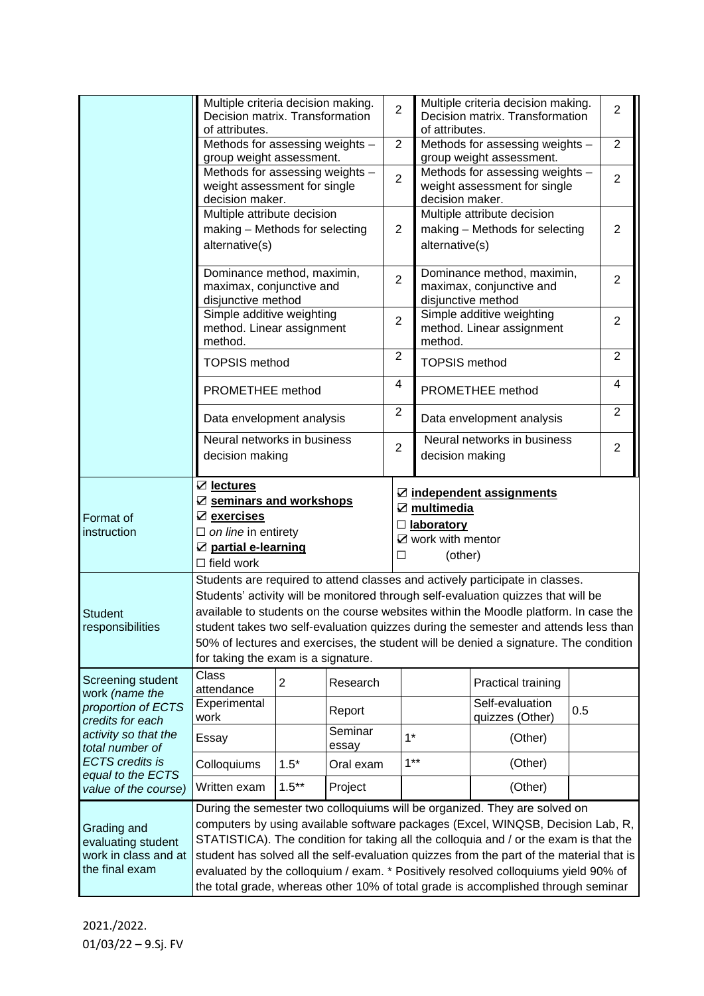|                                                                                                                                                          | Multiple criteria decision making.<br>Decision matrix. Transformation<br>of attributes.                                                                                   |          |                  | $\overline{2}$ |                        | Multiple criteria decision making.<br>Decision matrix. Transformation<br>of attributes.        |     |                     |  |
|----------------------------------------------------------------------------------------------------------------------------------------------------------|---------------------------------------------------------------------------------------------------------------------------------------------------------------------------|----------|------------------|----------------|------------------------|------------------------------------------------------------------------------------------------|-----|---------------------|--|
|                                                                                                                                                          | Methods for assessing weights -<br>group weight assessment.                                                                                                               |          |                  |                |                        | Methods for assessing weights -<br>group weight assessment.                                    |     |                     |  |
|                                                                                                                                                          | Methods for assessing weights -<br>weight assessment for single<br>decision maker.                                                                                        |          |                  |                | decision maker.        | Methods for assessing weights -<br>weight assessment for single                                |     | $\overline{2}$      |  |
|                                                                                                                                                          | Multiple attribute decision<br>making - Methods for selecting<br>alternative(s)                                                                                           |          |                  |                |                        | Multiple attribute decision<br>making - Methods for selecting<br>alternative(s)                |     |                     |  |
|                                                                                                                                                          | Dominance method, maximin,<br>maximax, conjunctive and<br>disjunctive method                                                                                              |          |                  |                |                        | Dominance method, maximin,<br>$\overline{2}$<br>maximax, conjunctive and<br>disjunctive method |     |                     |  |
|                                                                                                                                                          | Simple additive weighting<br>method. Linear assignment<br>method.                                                                                                         |          |                  |                | method.                | Simple additive weighting<br>method. Linear assignment                                         |     | $\overline{2}$      |  |
|                                                                                                                                                          | <b>TOPSIS method</b>                                                                                                                                                      |          |                  | $\overline{2}$ | <b>TOPSIS</b> method   |                                                                                                |     | $\overline{2}$      |  |
|                                                                                                                                                          | PROMETHEE method                                                                                                                                                          |          |                  | 4              |                        | PROMETHEE method                                                                               |     | 4<br>$\overline{2}$ |  |
|                                                                                                                                                          | Data envelopment analysis                                                                                                                                                 |          |                  | $\overline{2}$ |                        | Data envelopment analysis                                                                      |     |                     |  |
|                                                                                                                                                          | Neural networks in business<br>decision making                                                                                                                            |          |                  | $\overline{2}$ |                        | Neural networks in business<br>decision making                                                 |     | $\overline{2}$      |  |
|                                                                                                                                                          | $\boxtimes$ lectures                                                                                                                                                      |          |                  |                |                        | Z independent assignments                                                                      |     |                     |  |
| Format of                                                                                                                                                | ☑ seminars and workshops<br>Z exercises                                                                                                                                   |          |                  |                | $\mathbb Z$ multimedia |                                                                                                |     |                     |  |
| instruction                                                                                                                                              | $\Box$ on line in entirety                                                                                                                                                |          |                  |                | $\Box$ laboratory      |                                                                                                |     |                     |  |
|                                                                                                                                                          | ☑ partial e-learning                                                                                                                                                      |          |                  |                |                        | $\mathbf Z$ work with mentor                                                                   |     |                     |  |
|                                                                                                                                                          | $\Box$ field work                                                                                                                                                         |          |                  |                | (other)<br>□           |                                                                                                |     |                     |  |
|                                                                                                                                                          | Students are required to attend classes and actively participate in classes.                                                                                              |          |                  |                |                        |                                                                                                |     |                     |  |
| <b>Student</b><br>responsibilities                                                                                                                       | Students' activity will be monitored through self-evaluation quizzes that will be<br>available to students on the course websites within the Moodle platform. In case the |          |                  |                |                        |                                                                                                |     |                     |  |
|                                                                                                                                                          | student takes two self-evaluation quizzes during the semester and attends less than                                                                                       |          |                  |                |                        |                                                                                                |     |                     |  |
|                                                                                                                                                          | 50% of lectures and exercises, the student will be denied a signature. The condition                                                                                      |          |                  |                |                        |                                                                                                |     |                     |  |
|                                                                                                                                                          | for taking the exam is a signature.                                                                                                                                       |          |                  |                |                        |                                                                                                |     |                     |  |
| Screening student<br>work (name the                                                                                                                      | Class<br>$\overline{2}$<br>attendance                                                                                                                                     |          | Research         |                |                        | Practical training                                                                             |     |                     |  |
| proportion of ECTS<br>credits for each<br>activity so that the<br>total number of<br><b>ECTS</b> credits is<br>equal to the ECTS<br>value of the course) | Experimental<br>work                                                                                                                                                      | Report   |                  |                |                        | Self-evaluation<br>quizzes (Other)                                                             | 0.5 |                     |  |
|                                                                                                                                                          | Essay                                                                                                                                                                     |          | Seminar<br>essay |                | $1*$                   | (Other)                                                                                        |     |                     |  |
|                                                                                                                                                          | $1.5*$<br>Colloquiums<br>Oral exam                                                                                                                                        |          |                  | $1***$         | (Other)                |                                                                                                |     |                     |  |
|                                                                                                                                                          | Written exam                                                                                                                                                              | $1.5***$ | Project          |                |                        | (Other)                                                                                        |     |                     |  |
|                                                                                                                                                          | During the semester two colloquiums will be organized. They are solved on                                                                                                 |          |                  |                |                        |                                                                                                |     |                     |  |
| Grading and<br>evaluating student<br>work in class and at<br>the final exam                                                                              | computers by using available software packages (Excel, WINQSB, Decision Lab, R,                                                                                           |          |                  |                |                        |                                                                                                |     |                     |  |
|                                                                                                                                                          | STATISTICA). The condition for taking all the colloquia and / or the exam is that the                                                                                     |          |                  |                |                        |                                                                                                |     |                     |  |
|                                                                                                                                                          | student has solved all the self-evaluation quizzes from the part of the material that is                                                                                  |          |                  |                |                        |                                                                                                |     |                     |  |
|                                                                                                                                                          | evaluated by the colloquium / exam. * Positively resolved colloquiums yield 90% of<br>the total grade, whereas other 10% of total grade is accomplished through seminar   |          |                  |                |                        |                                                                                                |     |                     |  |
|                                                                                                                                                          |                                                                                                                                                                           |          |                  |                |                        |                                                                                                |     |                     |  |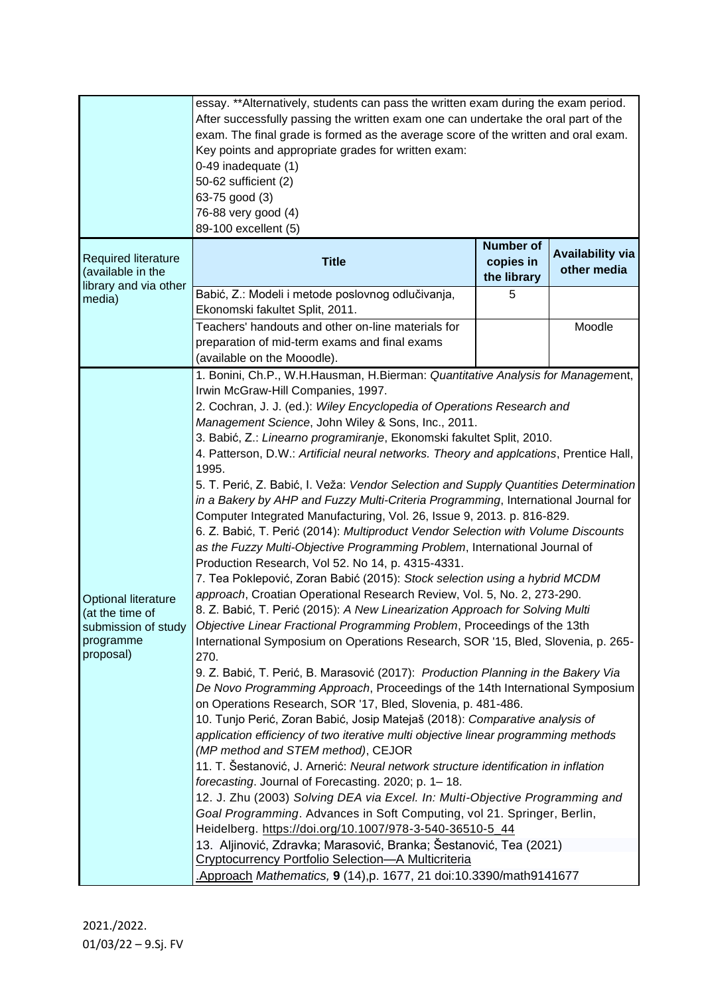|                                                                                                | essay. **Alternatively, students can pass the written exam during the exam period.<br>After successfully passing the written exam one can undertake the oral part of the<br>exam. The final grade is formed as the average score of the written and oral exam.<br>Key points and appropriate grades for written exam:<br>0-49 inadequate (1)<br>50-62 sufficient (2)<br>63-75 good (3)<br>76-88 very good (4)<br>89-100 excellent (5)                                                                                                                                                                                                                                                                                                                                                                                                                                                                                                                                                                                                                                                                                                                                                                                                                                                                                                                                                                                                                                                                                                                                                                                                                                                                                                                                                                                                                                                                                                                                                                                                                                                                                                                                                                                                                                               |                                              |                                        |  |  |
|------------------------------------------------------------------------------------------------|-------------------------------------------------------------------------------------------------------------------------------------------------------------------------------------------------------------------------------------------------------------------------------------------------------------------------------------------------------------------------------------------------------------------------------------------------------------------------------------------------------------------------------------------------------------------------------------------------------------------------------------------------------------------------------------------------------------------------------------------------------------------------------------------------------------------------------------------------------------------------------------------------------------------------------------------------------------------------------------------------------------------------------------------------------------------------------------------------------------------------------------------------------------------------------------------------------------------------------------------------------------------------------------------------------------------------------------------------------------------------------------------------------------------------------------------------------------------------------------------------------------------------------------------------------------------------------------------------------------------------------------------------------------------------------------------------------------------------------------------------------------------------------------------------------------------------------------------------------------------------------------------------------------------------------------------------------------------------------------------------------------------------------------------------------------------------------------------------------------------------------------------------------------------------------------------------------------------------------------------------------------------------------------|----------------------------------------------|----------------------------------------|--|--|
| <b>Required literature</b><br>(available in the<br>library and via other                       | <b>Title</b>                                                                                                                                                                                                                                                                                                                                                                                                                                                                                                                                                                                                                                                                                                                                                                                                                                                                                                                                                                                                                                                                                                                                                                                                                                                                                                                                                                                                                                                                                                                                                                                                                                                                                                                                                                                                                                                                                                                                                                                                                                                                                                                                                                                                                                                                        | <b>Number of</b><br>copies in<br>the library | <b>Availability via</b><br>other media |  |  |
| media)                                                                                         | Babić, Z.: Modeli i metode poslovnog odlučivanja,<br>Ekonomski fakultet Split, 2011.                                                                                                                                                                                                                                                                                                                                                                                                                                                                                                                                                                                                                                                                                                                                                                                                                                                                                                                                                                                                                                                                                                                                                                                                                                                                                                                                                                                                                                                                                                                                                                                                                                                                                                                                                                                                                                                                                                                                                                                                                                                                                                                                                                                                | 5                                            |                                        |  |  |
|                                                                                                | Teachers' handouts and other on-line materials for<br>preparation of mid-term exams and final exams<br>(available on the Mooodle).                                                                                                                                                                                                                                                                                                                                                                                                                                                                                                                                                                                                                                                                                                                                                                                                                                                                                                                                                                                                                                                                                                                                                                                                                                                                                                                                                                                                                                                                                                                                                                                                                                                                                                                                                                                                                                                                                                                                                                                                                                                                                                                                                  |                                              | Moodle                                 |  |  |
| <b>Optional literature</b><br>(at the time of<br>submission of study<br>programme<br>proposal) | 1. Bonini, Ch.P., W.H.Hausman, H.Bierman: Quantitative Analysis for Management,<br>Irwin McGraw-Hill Companies, 1997.<br>2. Cochran, J. J. (ed.): Wiley Encyclopedia of Operations Research and<br>Management Science, John Wiley & Sons, Inc., 2011.<br>3. Babić, Z.: Linearno programiranje, Ekonomski fakultet Split, 2010.<br>4. Patterson, D.W.: Artificial neural networks. Theory and applcations, Prentice Hall,<br>1995.<br>5. T. Perić, Z. Babić, I. Veža: Vendor Selection and Supply Quantities Determination<br>in a Bakery by AHP and Fuzzy Multi-Criteria Programming, International Journal for<br>Computer Integrated Manufacturing, Vol. 26, Issue 9, 2013. p. 816-829.<br>6. Z. Babić, T. Perić (2014): Multiproduct Vendor Selection with Volume Discounts<br>as the Fuzzy Multi-Objective Programming Problem, International Journal of<br>Production Research, Vol 52. No 14, p. 4315-4331.<br>7. Tea Poklepović, Zoran Babić (2015): Stock selection using a hybrid MCDM<br>approach, Croatian Operational Research Review, Vol. 5, No. 2, 273-290.<br>8. Z. Babić, T. Perić (2015): A New Linearization Approach for Solving Multi<br>Objective Linear Fractional Programming Problem, Proceedings of the 13th<br>International Symposium on Operations Research, SOR '15, Bled, Slovenia, p. 265-<br>270.<br>9. Z. Babić, T. Perić, B. Marasović (2017): Production Planning in the Bakery Via<br>De Novo Programming Approach, Proceedings of the 14th International Symposium<br>on Operations Research, SOR '17, Bled, Slovenia, p. 481-486.<br>10. Tunjo Perić, Zoran Babić, Josip Matejaš (2018): Comparative analysis of<br>application efficiency of two iterative multi objective linear programming methods<br>(MP method and STEM method), CEJOR<br>11. T. Šestanović, J. Arnerić: Neural network structure identification in inflation<br>forecasting. Journal of Forecasting. 2020; p. 1-18.<br>12. J. Zhu (2003) Solving DEA via Excel. In: Multi-Objective Programming and<br>Goal Programming. Advances in Soft Computing, vol 21. Springer, Berlin,<br>Heidelberg. https://doi.org/10.1007/978-3-540-36510-5_44<br>13. Aljinović, Zdravka; Marasović, Branka; Šestanović, Tea (2021)<br>Cryptocurrency Portfolio Selection-A Multicriteria |                                              |                                        |  |  |